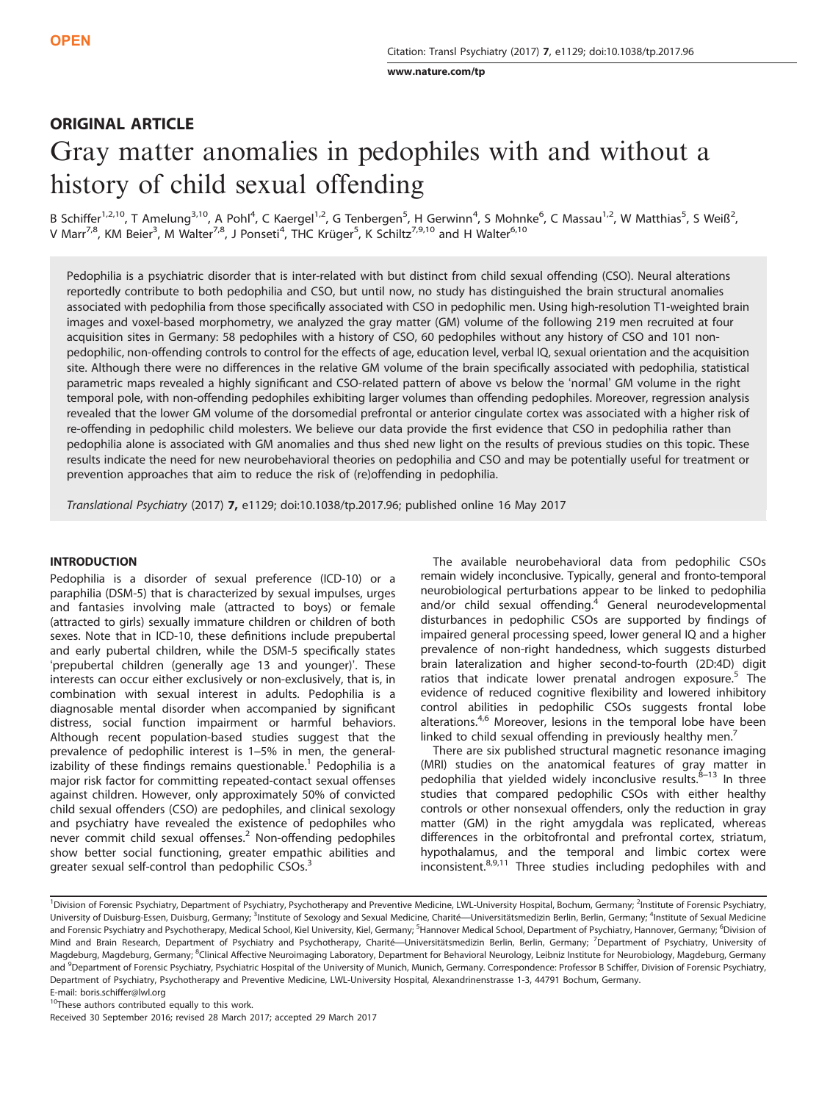[www.nature.com/tp](http://www.nature.com/tp)

# ORIGINAL ARTICLE

# Gray matter anomalies in pedophiles with and without a history of child sexual offending

B Schiffer<sup>1,2,10</sup>, T Amelung<sup>3,10</sup>, A Pohl<sup>4</sup>, C Kaergel<sup>1,2</sup>, G Tenbergen<sup>5</sup>, H Gerwinn<sup>4</sup>, S Mohnke<sup>6</sup>, C Massau<sup>1,2</sup>, W Matthias<sup>5</sup>, S Weiß<sup>2</sup>, V Marr<sup>7,8</sup>, KM Beier<sup>3</sup>, M Walter<sup>7,8</sup>, J Ponseti<sup>4</sup>, THC Krüger<sup>5</sup>, K Schiltz<sup>7,9,10</sup> and H Walter<sup>6,10</sup>

Pedophilia is a psychiatric disorder that is inter-related with but distinct from child sexual offending (CSO). Neural alterations reportedly contribute to both pedophilia and CSO, but until now, no study has distinguished the brain structural anomalies associated with pedophilia from those specifically associated with CSO in pedophilic men. Using high-resolution T1-weighted brain images and voxel-based morphometry, we analyzed the gray matter (GM) volume of the following 219 men recruited at four acquisition sites in Germany: 58 pedophiles with a history of CSO, 60 pedophiles without any history of CSO and 101 nonpedophilic, non-offending controls to control for the effects of age, education level, verbal IQ, sexual orientation and the acquisition site. Although there were no differences in the relative GM volume of the brain specifically associated with pedophilia, statistical parametric maps revealed a highly significant and CSO-related pattern of above vs below the 'normal' GM volume in the right temporal pole, with non-offending pedophiles exhibiting larger volumes than offending pedophiles. Moreover, regression analysis revealed that the lower GM volume of the dorsomedial prefrontal or anterior cingulate cortex was associated with a higher risk of re-offending in pedophilic child molesters. We believe our data provide the first evidence that CSO in pedophilia rather than pedophilia alone is associated with GM anomalies and thus shed new light on the results of previous studies on this topic. These results indicate the need for new neurobehavioral theories on pedophilia and CSO and may be potentially useful for treatment or prevention approaches that aim to reduce the risk of (re)offending in pedophilia.

Translational Psychiatry (2017) 7, e1129; doi[:10.1038/tp.2017.96](http://dx.doi.org/10.1038/tp.2017.96); published online 16 May 2017

# **INTRODUCTION**

Pedophilia is a disorder of sexual preference (ICD-10) or a paraphilia (DSM-5) that is characterized by sexual impulses, urges and fantasies involving male (attracted to boys) or female (attracted to girls) sexually immature children or children of both sexes. Note that in ICD-10, these definitions include prepubertal and early pubertal children, while the DSM-5 specifically states 'prepubertal children (generally age 13 and younger)'. These interests can occur either exclusively or non-exclusively, that is, in combination with sexual interest in adults. Pedophilia is a diagnosable mental disorder when accompanied by significant distress, social function impairment or harmful behaviors. Although recent population-based studies suggest that the prevalence of pedophilic interest is 1–5% in men, the general-izability of these findings remains questionable.<sup>[1](#page-6-0)</sup> Pedophilia is a major risk factor for committing repeated-contact sexual offenses against children. However, only approximately 50% of convicted child sexual offenders (CSO) are pedophiles, and clinical sexology and psychiatry have revealed the existence of pedophiles who never commit child sexual offenses.<sup>[2](#page-6-0)</sup> Non-offending pedophiles show better social functioning, greater empathic abilities and greater sexual self-control than pedophilic CSOs.<sup>[3](#page-6-0)</sup>

The available neurobehavioral data from pedophilic CSOs remain widely inconclusive. Typically, general and fronto-temporal neurobiological perturbations appear to be linked to pedophilia and/or child sexual offending.<sup>[4](#page-6-0)</sup> General neurodevelopmental disturbances in pedophilic CSOs are supported by findings of impaired general processing speed, lower general IQ and a higher prevalence of non-right handedness, which suggests disturbed brain lateralization and higher second-to-fourth (2D:4D) digit ratios that indicate lower prenatal androgen exposure.<sup>[5](#page-6-0)</sup> The evidence of reduced cognitive flexibility and lowered inhibitory control abilities in pedophilic CSOs suggests frontal lobe alterations.<sup>[4](#page-6-0),[6](#page-6-0)</sup> Moreover, lesions in the temporal lobe have been linked to child sexual offending in previously healthy men.<sup>7</sup>

There are six published structural magnetic resonance imaging (MRI) studies on the anatomical features of gray matter in pedophilia that yielded widely inconclusive results.<sup>8–[13](#page-6-0)</sup> In three studies that compared pedophilic CSOs with either healthy controls or other nonsexual offenders, only the reduction in gray matter (GM) in the right amygdala was replicated, whereas differences in the orbitofrontal and prefrontal cortex, striatum, hypothalamus, and the temporal and limbic cortex were inconsistent.[8](#page-6-0),[9,11](#page-6-0) Three studies including pedophiles with and

<sup>10</sup>These authors contributed equally to this work.

Received 30 September 2016; revised 28 March 2017; accepted 29 March 2017

<sup>&</sup>lt;sup>1</sup>Division of Forensic Psychiatry, Department of Psychiatry, Psychotherapy and Preventive Medicine, LWL-University Hospital, Bochum, Germany; <sup>2</sup>Institute of Forensic Psychiatry, University of Duisburg-Essen, Duisburg, Germany; <sup>3</sup>Institute of Sexology and Sexual Medicine, Charité—Universitätsmedizin Berlin, Berlin, Germany; <sup>4</sup>Institute of Sexual Medicine and Forensic Psychiatry and Psychotherapy, Medical School, Kiel University, Kiel, Germany; <sup>5</sup>Hannover Medical School, Department of Psychiatry, Hannover, Germany; <sup>6</sup>Division of Mind and Brain Research, Department of Psychiatry and Psychotherapy, Charité—Universitätsmedizin Berlin, Berlin, Germany; <sup>7</sup>Department of Psychiatry, University of Magdeburg, Magdeburg, Germany; <sup>8</sup>Clinical Affective Neuroimaging Laboratory, Department for Behavioral Neurology, Leibniz Institute for Neurobiology, Magdeburg, Germany and <sup>9</sup>Department of Forensic Psychiatry, Psychiatric Hospital of the University of Munich, Munich, Germany. Correspondence: Professor B Schiffer, Division of Forensic Psychiatry, Department of Psychiatry, Psychotherapy and Preventive Medicine, LWL-University Hospital, Alexandrinenstrasse 1-3, 44791 Bochum, Germany. E-mail: [boris.schiffer@lwl.org](mailto:boris.schiffer@lwl.org)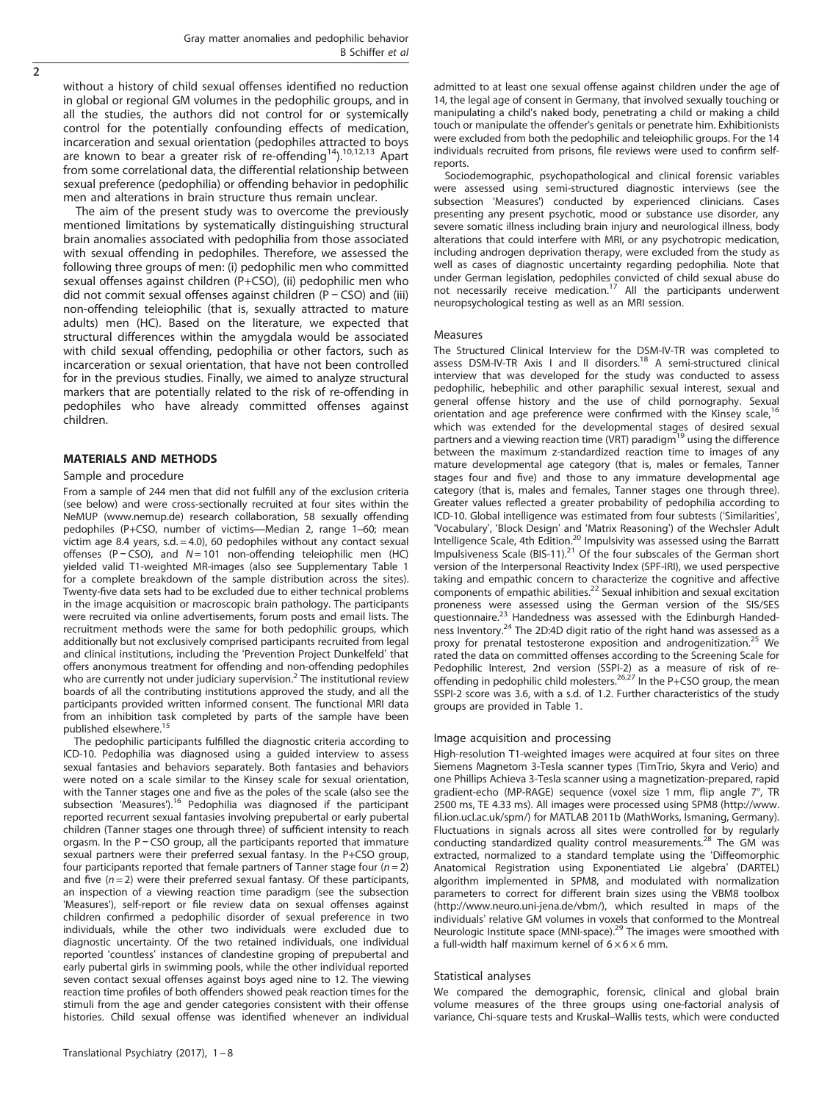without a history of child sexual offenses identified no reduction in global or regional GM volumes in the pedophilic groups, and in all the studies, the authors did not control for or systemically control for the potentially confounding effects of medication, incarceration and sexual orientation (pedophiles attracted to boys are known to bear a greater risk of re-offending<sup>14</sup>).<sup>[10,12,13](#page-6-0)</sup> Apart from some correlational data, the differential relationship between sexual preference (pedophilia) or offending behavior in pedophilic men and alterations in brain structure thus remain unclear.

The aim of the present study was to overcome the previously mentioned limitations by systematically distinguishing structural brain anomalies associated with pedophilia from those associated with sexual offending in pedophiles. Therefore, we assessed the following three groups of men: (i) pedophilic men who committed sexual offenses against children (P+CSO), (ii) pedophilic men who did not commit sexual offenses against children (P − CSO) and (iii) non-offending teleiophilic (that is, sexually attracted to mature adults) men (HC). Based on the literature, we expected that structural differences within the amygdala would be associated with child sexual offending, pedophilia or other factors, such as incarceration or sexual orientation, that have not been controlled for in the previous studies. Finally, we aimed to analyze structural markers that are potentially related to the risk of re-offending in pedophiles who have already committed offenses against children.

#### MATERIALS AND METHODS

#### Sample and procedure

From a sample of 244 men that did not fulfill any of the exclusion criteria (see below) and were cross-sectionally recruited at four sites within the NeMUP ([www.nemup.de\)](www.nemup.de) research collaboration, 58 sexually offending pedophiles (P+CSO, number of victims—Median 2, range 1–60; mean victim age 8.4 years, s.d.  $=$  4.0), 60 pedophiles without any contact sexual offenses (P − CSO), and N = 101 non-offending teleiophilic men (HC) yielded valid T1-weighted MR-images (also see Supplementary Table 1 for a complete breakdown of the sample distribution across the sites). Twenty-five data sets had to be excluded due to either technical problems in the image acquisition or macroscopic brain pathology. The participants were recruited via online advertisements, forum posts and email lists. The recruitment methods were the same for both pedophilic groups, which additionally but not exclusively comprised participants recruited from legal and clinical institutions, including the 'Prevention Project Dunkelfeld' that offers anonymous treatment for offending and non-offending pedophiles who are currently not under judiciary supervision.<sup>[2](#page-6-0)</sup> The institutional review boards of all the contributing institutions approved the study, and all the participants provided written informed consent. The functional MRI data from an inhibition task completed by parts of the sample have been published elsewhere[.15](#page-6-0)

The pedophilic participants fulfilled the diagnostic criteria according to ICD-10. Pedophilia was diagnosed using a guided interview to assess sexual fantasies and behaviors separately. Both fantasies and behaviors were noted on a scale similar to the Kinsey scale for sexual orientation, with the Tanner stages one and five as the poles of the scale (also see the subsection 'Measures').<sup>16</sup> Pedophilia was diagnosed if the participant reported recurrent sexual fantasies involving prepubertal or early pubertal children (Tanner stages one through three) of sufficient intensity to reach orgasm. In the P − CSO group, all the participants reported that immature sexual partners were their preferred sexual fantasy. In the P+CSO group, four participants reported that female partners of Tanner stage four  $(n=2)$ and five  $(n = 2)$  were their preferred sexual fantasy. Of these participants, an inspection of a viewing reaction time paradigm (see the subsection 'Measures'), self-report or file review data on sexual offenses against children confirmed a pedophilic disorder of sexual preference in two individuals, while the other two individuals were excluded due to diagnostic uncertainty. Of the two retained individuals, one individual reported 'countless' instances of clandestine groping of prepubertal and early pubertal girls in swimming pools, while the other individual reported seven contact sexual offenses against boys aged nine to 12. The viewing reaction time profiles of both offenders showed peak reaction times for the stimuli from the age and gender categories consistent with their offense histories. Child sexual offense was identified whenever an individual

Translational Psychiatry (2017), 1 – 8

admitted to at least one sexual offense against children under the age of 14, the legal age of consent in Germany, that involved sexually touching or manipulating a child's naked body, penetrating a child or making a child touch or manipulate the offender's genitals or penetrate him. Exhibitionists were excluded from both the pedophilic and teleiophilic groups. For the 14 individuals recruited from prisons, file reviews were used to confirm selfreports.

Sociodemographic, psychopathological and clinical forensic variables were assessed using semi-structured diagnostic interviews (see the subsection 'Measures') conducted by experienced clinicians. Cases presenting any present psychotic, mood or substance use disorder, any severe somatic illness including brain injury and neurological illness, body alterations that could interfere with MRI, or any psychotropic medication, including androgen deprivation therapy, were excluded from the study as well as cases of diagnostic uncertainty regarding pedophilia. Note that under German legislation, pedophiles convicted of child sexual abuse do<br>not necessarily receive medication.<sup>17</sup> All the participants underwent neuropsychological testing as well as an MRI session.

#### Measures

The Structured Clinical Interview for the DSM-IV-TR was completed to assess DSM-IV-TR Axis I and II disorders.<sup>18</sup> A semi-structured clinical interview that was developed for the study was conducted to assess pedophilic, hebephilic and other paraphilic sexual interest, sexual and general offense history and the use of child pornography. Sexual orientation and age preference were confirmed with the Kinsey scale, which was extended for the developmental stages of desired sexual partners and a viewing reaction time (VRT) paradigm<sup>19</sup> using the difference between the maximum z-standardized reaction time to images of any mature developmental age category (that is, males or females, Tanner stages four and five) and those to any immature developmental age category (that is, males and females, Tanner stages one through three). Greater values reflected a greater probability of pedophilia according to ICD-10. Global intelligence was estimated from four subtests ('Similarities', 'Vocabulary', 'Block Design' and 'Matrix Reasoning') of the Wechsler Adult Intelligence Scale, 4th Edition.<sup>20</sup> Impulsivity was assessed using the Barratt Impulsiveness Scale (BIS-11).<sup>[21](#page-6-0)</sup> Of the four subscales of the German short version of the Interpersonal Reactivity Index (SPF-IRI), we used perspective taking and empathic concern to characterize the cognitive and affective components of empathic abilities.[22](#page-6-0) Sexual inhibition and sexual excitation proneness were assessed using the German version of the SIS/SES questionnaire.<sup>23</sup> Handedness was assessed with the Edinburgh Handedness Inventory.<sup>24</sup> The 2D:4D digit ratio of the right hand was assessed as a proxy for prenatal testosterone exposition and androgenitization.<sup>[25](#page-6-0)</sup> We rated the data on committed offenses according to the Screening Scale for Pedophilic Interest, 2nd version (SSPI-2) as a measure of risk of re-<br>offending in pedophilic child molesters.<sup>[26,27](#page-6-0)</sup> In the P+CSO group, the mean SSPI-2 score was 3.6, with a s.d. of 1.2. Further characteristics of the study groups are provided in [Table 1](#page-2-0).

#### Image acquisition and processing

High-resolution T1-weighted images were acquired at four sites on three Siemens Magnetom 3-Tesla scanner types (TimTrio, Skyra and Verio) and one Phillips Achieva 3-Tesla scanner using a magnetization-prepared, rapid gradient-echo (MP-RAGE) sequence (voxel size 1 mm, flip angle 7°, TR 2500 ms, TE 4.33 ms). All images were processed using SPM8 ([http://www.](http://www.fil.ion.ucl.ac.uk/spm/) fi[l.ion.ucl.ac.uk/spm/\)](http://www.fil.ion.ucl.ac.uk/spm/) for MATLAB 2011b (MathWorks, Ismaning, Germany). Fluctuations in signals across all sites were controlled for by regularly conducting standardized quality control measurements.<sup>[28](#page-6-0)</sup> The GM was extracted, normalized to a standard template using the 'Diffeomorphic Anatomical Registration using Exponentiated Lie algebra' (DARTEL) algorithm implemented in SPM8, and modulated with normalization parameters to correct for different brain sizes using the VBM8 toolbox ([http://www.neuro.uni-jena.de/vbm/\)](http://www.neuro.uni-jena.de/vbm/), which resulted in maps of the individuals' relative GM volumes in voxels that conformed to the Montreal Neurologic Institute space (MNI-space)[.29](#page-7-0) The images were smoothed with a full-width half maximum kernel of  $6 \times 6 \times 6$  mm.

#### Statistical analyses

We compared the demographic, forensic, clinical and global brain volume measures of the three groups using one-factorial analysis of variance, Chi-square tests and Kruskal–Wallis tests, which were conducted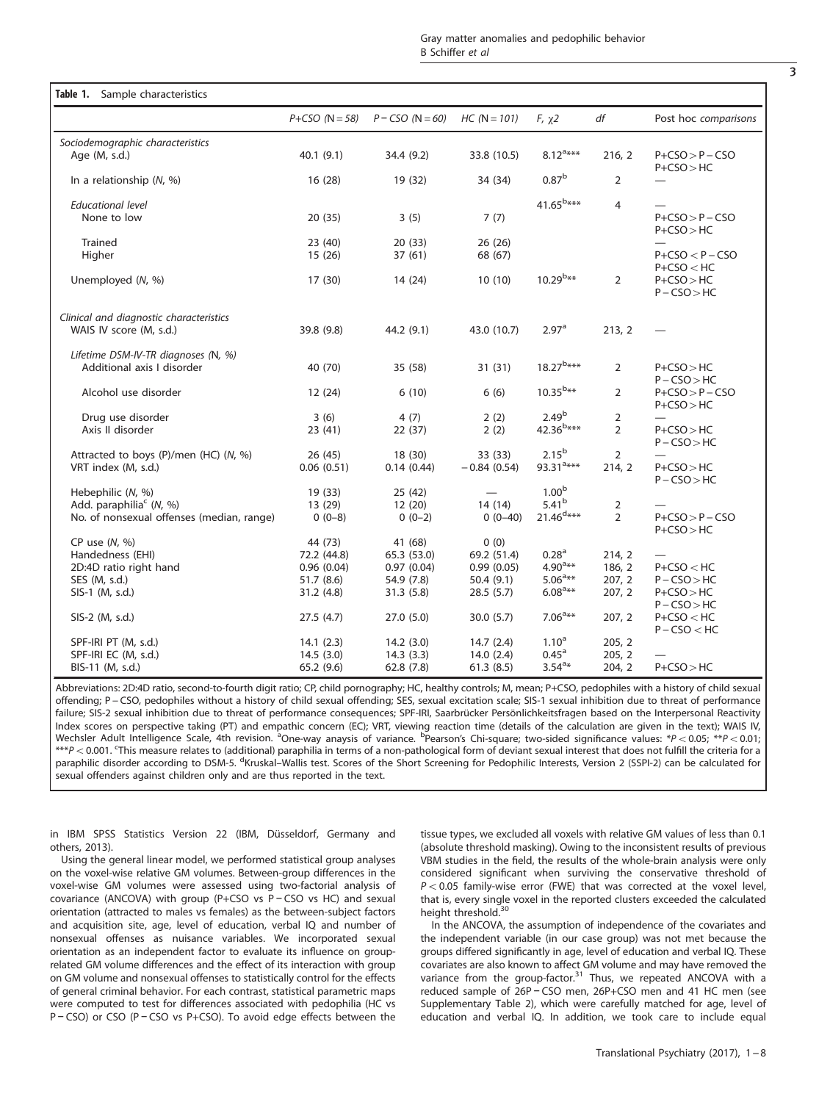<span id="page-2-0"></span>

|                                                                    | $P + CSO (N = 58)$ | $P - CSO (N = 60)$ | $HC (N = 101)$    | $F, \chi^2$             | df             | Post hoc comparisons                  |
|--------------------------------------------------------------------|--------------------|--------------------|-------------------|-------------------------|----------------|---------------------------------------|
| Sociodemographic characteristics<br>Age (M, s.d.)                  | 40.1(9.1)          | 34.4 (9.2)         | 33.8 (10.5)       | $8.12^{a***}$           | 216, 2         | $P + CSO > P - CSO$                   |
| In a relationship (N, %)                                           | 16(28)             | 19 (32)            | 34 (34)           | $0.87^{\rm b}$          | $\overline{2}$ | $P + CSO > HC$                        |
| <b>Educational level</b><br>None to low                            | 20(35)             | 3(5)               | 7(7)              | $41.65^{b***}$          | $\overline{4}$ | $P + CSO > P - CSO$<br>$P + CSO > HC$ |
| <b>Trained</b><br>Higher                                           | 23 (40)<br>15(26)  | 20(33)<br>37(61)   | 26(26)<br>68 (67) |                         |                | $P + CSO < P - CSO$<br>$P + CSO < HC$ |
| Unemployed (N, %)                                                  | 17(30)             | 14 (24)            | 10(10)            | $10.29^{b**}$           | $\overline{2}$ | $P + CSO > HC$<br>$P - CSO > HC$      |
| Clinical and diagnostic characteristics<br>WAIS IV score (M, s.d.) | 39.8 (9.8)         | 44.2 (9.1)         | 43.0 (10.7)       | 2.97 <sup>a</sup>       | 213, 2         |                                       |
| Lifetime DSM-IV-TR diagnoses (N, %)<br>Additional axis I disorder  | 40 (70)            | 35 (58)            | 31(31)            | $18.27^{b***}$          | $\overline{2}$ | $P + CSO > HC$<br>$P - CSO > HC$      |
| Alcohol use disorder                                               | 12(24)             | 6(10)              | 6(6)              | $10.35^{b**}$           | $\overline{2}$ | $P + CSO > P - CSO$<br>$P + CSO > HC$ |
| Drug use disorder                                                  | 3(6)               | 4(7)               | 2(2)              | 2.49 <sup>b</sup>       | $\overline{2}$ | $\overbrace{\qquad \qquad }^{}$       |
| Axis II disorder                                                   | 23(41)             | 22(37)             | 2(2)              | $42.36^{b***}$          | $\overline{2}$ | $P + CSO > HC$<br>$P - CSO > HC$      |
| Attracted to boys (P)/men (HC) (N, %)                              | 26 (45)            | 18 (30)            | 33 (33)           | $2.15^{b}$              | $\overline{2}$ |                                       |
| VRT index (M, s.d.)                                                | 0.06(0.51)         | 0.14(0.44)         | $-0.84(0.54)$     | $93.31$ <sup>a***</sup> | 214, 2         | $P + CSO > HC$<br>$P - CSO > HC$      |
| Hebephilic (N, %)                                                  | 19 (33)            | 25 (42)            |                   | 1.00 <sup>b</sup>       |                |                                       |
| Add. paraphilia <sup>c</sup> (N, %)                                | 13 (29)            | 12(20)             | 14(14)            | 5.41 <sup>b</sup>       | 2              |                                       |
| No. of nonsexual offenses (median, range)                          | $0(0-8)$           | $0(0-2)$           | $0(0-40)$         | $21.46^{\text{d}***}$   | $\overline{2}$ | $P + CSO > P - CSO$<br>$P + CSO > HC$ |
| CP use $(N, %)$                                                    | 44 (73)            | 41 (68)            | 0(0)              |                         |                |                                       |
| Handedness (EHI)                                                   | 72.2 (44.8)        | 65.3 (53.0)        | 69.2 (51.4)       | 0.28 <sup>a</sup>       | 214, 2         |                                       |
| 2D:4D ratio right hand                                             | 0.96(0.04)         | 0.97(0.04)         | 0.99(0.05)        | $4.90^{a**}$            | 186, 2         | $P + CSO < HC$                        |
| SES (M, s.d.)                                                      | 51.7(8.6)          | 54.9 (7.8)         | 50.4(9.1)         | $5.06^{a**}$            | 207, 2         | $P - CSO > HC$                        |
| SIS-1 (M, s.d.)                                                    | 31.2(4.8)          | 31.3(5.8)          | 28.5(5.7)         | $6.08$ <sup>a**</sup>   | 207, 2         | $P + CSO > HC$<br>$P - CSO > HC$      |
| SIS-2 (M, s.d.)                                                    | 27.5(4.7)          | 27.0(5.0)          | 30.0(5.7)         | $7.06^{a_{**}}$         | 207, 2         | $P + CSO < HC$<br>$P - CSO < HC$      |
| SPF-IRI PT (M, s.d.)                                               | 14.1(2.3)          | 14.2(3.0)          | 14.7(2.4)         | $1.10^{a}$              | 205, 2         |                                       |
| SPF-IRI EC (M, s.d.)                                               | 14.5(3.0)          | 14.3(3.3)          | 14.0(2.4)         | 0.45 <sup>a</sup>       | 205, 2         |                                       |
| BIS-11 (M, s.d.)                                                   | 65.2 (9.6)         | 62.8(7.8)          | 61.3(8.5)         | $3.54^{a*}$             | 204, 2         | $P + CSO > HC$                        |

Abbreviations: 2D:4D ratio, second-to-fourth digit ratio; CP, child pornography; HC, healthy controls; M, mean; P+CSO, pedophiles with a history of child sexual offending; P − CSO, pedophiles without a history of child sexual offending; SES, sexual excitation scale; SIS-1 sexual inhibition due to threat of performance failure; SIS-2 sexual inhibition due to threat of performance consequences; SPF-IRI, Saarbrücker Persönlichkeitsfragen based on the Interpersonal Reactivity Index scores on perspective taking (PT) and empathic concern (EC); VRT, viewing reaction time (details of the calculation are given in the text); WAIS IV, Wechsler Adult Intelligence Scale, 4th revision. <sup>a</sup>One-way anaysis of variance. <sup>b</sup>Pearson's Chi-square; two-sided significance values: \*P < 0.05; \*\*P < 0.01;  $^{***P}$  < 0.001. <sup>c</sup>This measure relates to (additional) paraphilia in terms of a non-pathological form of deviant sexual interest that does not fulfill the criteria for a paraphilic disorder according to DSM-5. <sup>d</sup>Kruskal–Wallis test. Scores of the Short Screening for Pedophilic Interests, Version 2 (SSPI-2) can be calculated for sexual offenders against children only and are thus reported in the text.

in IBM SPSS Statistics Version 22 (IBM, Düsseldorf, Germany and others, 2013).

Using the general linear model, we performed statistical group analyses on the voxel-wise relative GM volumes. Between-group differences in the voxel-wise GM volumes were assessed using two-factorial analysis of covariance (ANCOVA) with group (P+CSO vs P − CSO vs HC) and sexual orientation (attracted to males vs females) as the between-subject factors and acquisition site, age, level of education, verbal IQ and number of nonsexual offenses as nuisance variables. We incorporated sexual orientation as an independent factor to evaluate its influence on grouprelated GM volume differences and the effect of its interaction with group on GM volume and nonsexual offenses to statistically control for the effects of general criminal behavior. For each contrast, statistical parametric maps were computed to test for differences associated with pedophilia (HC vs P − CSO) or CSO (P − CSO vs P+CSO). To avoid edge effects between the

tissue types, we excluded all voxels with relative GM values of less than 0.1 (absolute threshold masking). Owing to the inconsistent results of previous VBM studies in the field, the results of the whole-brain analysis were only considered significant when surviving the conservative threshold of  $P < 0.05$  family-wise error (FWE) that was corrected at the voxel level, that is, every single voxel in the reported clusters exceeded the calculated height threshold.<sup>30</sup>

In the ANCOVA, the assumption of independence of the covariates and the independent variable (in our case group) was not met because the groups differed significantly in age, level of education and verbal IQ. These covariates are also known to affect GM volume and may have removed the variance from the group-factor. $31$  Thus, we repeated ANCOVA with a reduced sample of 26P − CSO men, 26P+CSO men and 41 HC men (see Supplementary Table 2), which were carefully matched for age, level of education and verbal IQ. In addition, we took care to include equal

3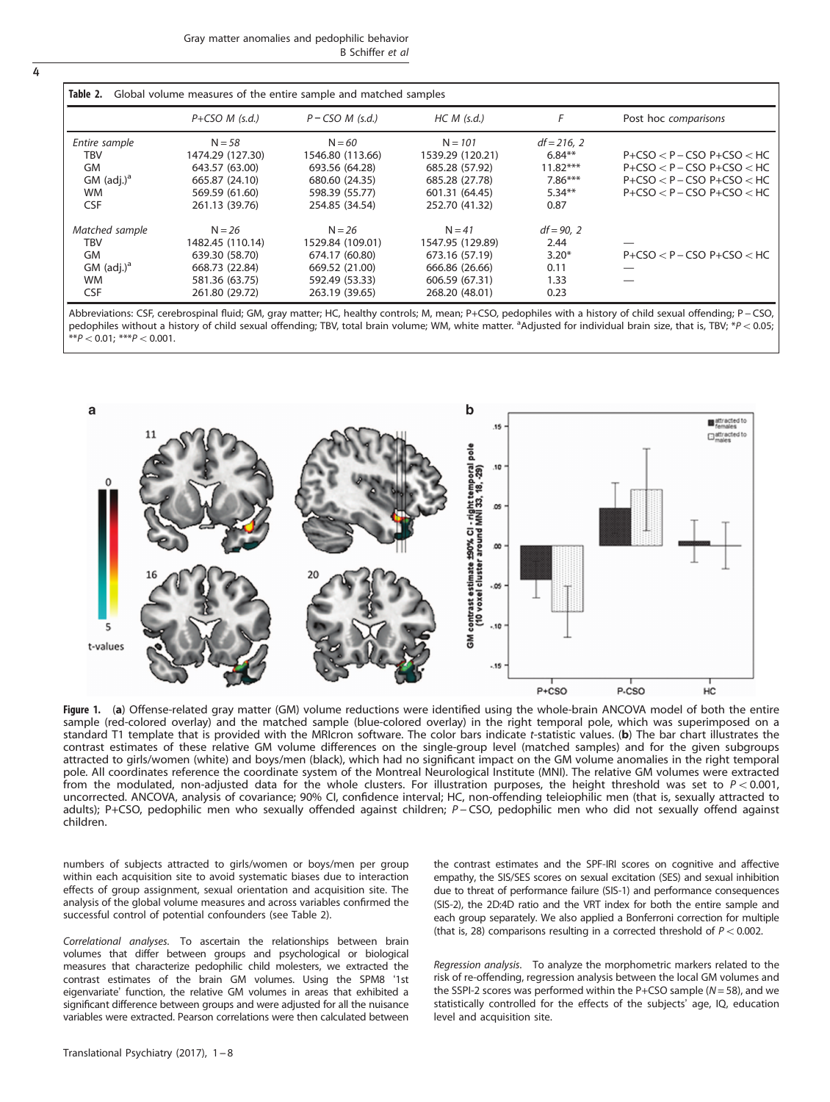| Table 2.<br>Global volume measures of the entire sample and matched samples |                    |                    |                  |              |                                    |  |  |  |
|-----------------------------------------------------------------------------|--------------------|--------------------|------------------|--------------|------------------------------------|--|--|--|
|                                                                             | $P + CSO M$ (s.d.) | $P$ – CSO M (s.d.) | $HC M$ (s.d.)    | F            | Post hoc comparisons               |  |  |  |
| Entire sample                                                               | $N = 58$           | $N = 60$           | $N = 101$        | $df = 216.2$ |                                    |  |  |  |
| TBV                                                                         | 1474.29 (127.30)   | 1546.80 (113.66)   | 1539.29 (120.21) | $6.84**$     | $P + CSO < P - CSO$ $P + CSO < HC$ |  |  |  |
| <b>GM</b>                                                                   | 643.57 (63.00)     | 693.56 (64.28)     | 685.28 (57.92)   | $11.82***$   | $P + CSO < P - CSO P + CSO < HC$   |  |  |  |
| $GM$ (adj.) <sup>a</sup>                                                    | 665.87 (24.10)     | 680.60 (24.35)     | 685.28 (27.78)   | $7.86***$    | $P + CSO < P - CSO$ $P + CSO < HC$ |  |  |  |
| <b>WM</b>                                                                   | 569.59 (61.60)     | 598.39 (55.77)     | 601.31 (64.45)   | $5.34**$     | $P + CSO < P - CSO$ $P + CSO < HC$ |  |  |  |
| <b>CSF</b>                                                                  | 261.13 (39.76)     | 254.85 (34.54)     | 252.70 (41.32)   | 0.87         |                                    |  |  |  |
| Matched sample                                                              | $N = 26$           | $N = 26$           | $N = 41$         | $df = 90, 2$ |                                    |  |  |  |
| TBV                                                                         | 1482.45 (110.14)   | 1529.84 (109.01)   | 1547.95 (129.89) | 2.44         |                                    |  |  |  |
| <b>GM</b>                                                                   | 639.30 (58.70)     | 674.17 (60.80)     | 673.16 (57.19)   | $3.20*$      | $P + CSO < P - CSO$ $P + CSO < HC$ |  |  |  |
| $GM$ (adj.) <sup>a</sup>                                                    | 668.73 (22.84)     | 669.52 (21.00)     | 666.86 (26.66)   | 0.11         |                                    |  |  |  |
| <b>WM</b>                                                                   | 581.36 (63.75)     | 592.49 (53.33)     | 606.59 (67.31)   | 1.33         |                                    |  |  |  |
| <b>CSF</b>                                                                  | 261.80 (29.72)     | 263.19 (39.65)     | 268.20 (48.01)   | 0.23         |                                    |  |  |  |

Abbreviations: CSF, cerebrospinal fluid; GM, gray matter; HC, healthy controls; M, mean; P+CSO, pedophiles with a history of child sexual offending; P − CSO, pedophiles without a history of child sexual offending; TBV, total brain volume; WM, white matter. <sup>a</sup>Adjusted for individual brain size, that is, TBV; \*P < 0.05;  $A^{**}P < 0.01$ ; \*\*\*P $< 0.001$ .



Figure 1. (a) Offense-related gray matter (GM) volume reductions were identified using the whole-brain ANCOVA model of both the entire sample (red-colored overlay) and the matched sample (blue-colored overlay) in the right temporal pole, which was superimposed on a standard T1 template that is provided with the MRIcron software. The color bars indicate t-statistic values. (b) The bar chart illustrates the contrast estimates of these relative GM volume differences on the single-group level (matched samples) and for the given subgroups attracted to girls/women (white) and boys/men (black), which had no significant impact on the GM volume anomalies in the right temporal pole. All coordinates reference the coordinate system of the Montreal Neurological Institute (MNI). The relative GM volumes were extracted from the modulated, non-adjusted data for the whole clusters. For illustration purposes, the height threshold was set to  $P < 0.001$ , uncorrected. ANCOVA, analysis of covariance; 90% CI, confidence interval; HC, non-offending teleiophilic men (that is, sexually attracted to adults); P+CSO, pedophilic men who sexually offended against children; P − CSO, pedophilic men who did not sexually offend against children.

numbers of subjects attracted to girls/women or boys/men per group within each acquisition site to avoid systematic biases due to interaction effects of group assignment, sexual orientation and acquisition site. The analysis of the global volume measures and across variables confirmed the successful control of potential confounders (see Table 2).

Correlational analyses. To ascertain the relationships between brain volumes that differ between groups and psychological or biological measures that characterize pedophilic child molesters, we extracted the contrast estimates of the brain GM volumes. Using the SPM8 '1st eigenvariate' function, the relative GM volumes in areas that exhibited a significant difference between groups and were adjusted for all the nuisance variables were extracted. Pearson correlations were then calculated between the contrast estimates and the SPF-IRI scores on cognitive and affective empathy, the SIS/SES scores on sexual excitation (SES) and sexual inhibition due to threat of performance failure (SIS-1) and performance consequences (SIS-2), the 2D:4D ratio and the VRT index for both the entire sample and each group separately. We also applied a Bonferroni correction for multiple (that is, 28) comparisons resulting in a corrected threshold of  $P < 0.002$ .

Regression analysis. To analyze the morphometric markers related to the risk of re-offending, regression analysis between the local GM volumes and the SSPI-2 scores was performed within the P+CSO sample ( $N = 58$ ), and we statistically controlled for the effects of the subjects' age, IQ, education level and acquisition site.

<span id="page-3-0"></span>4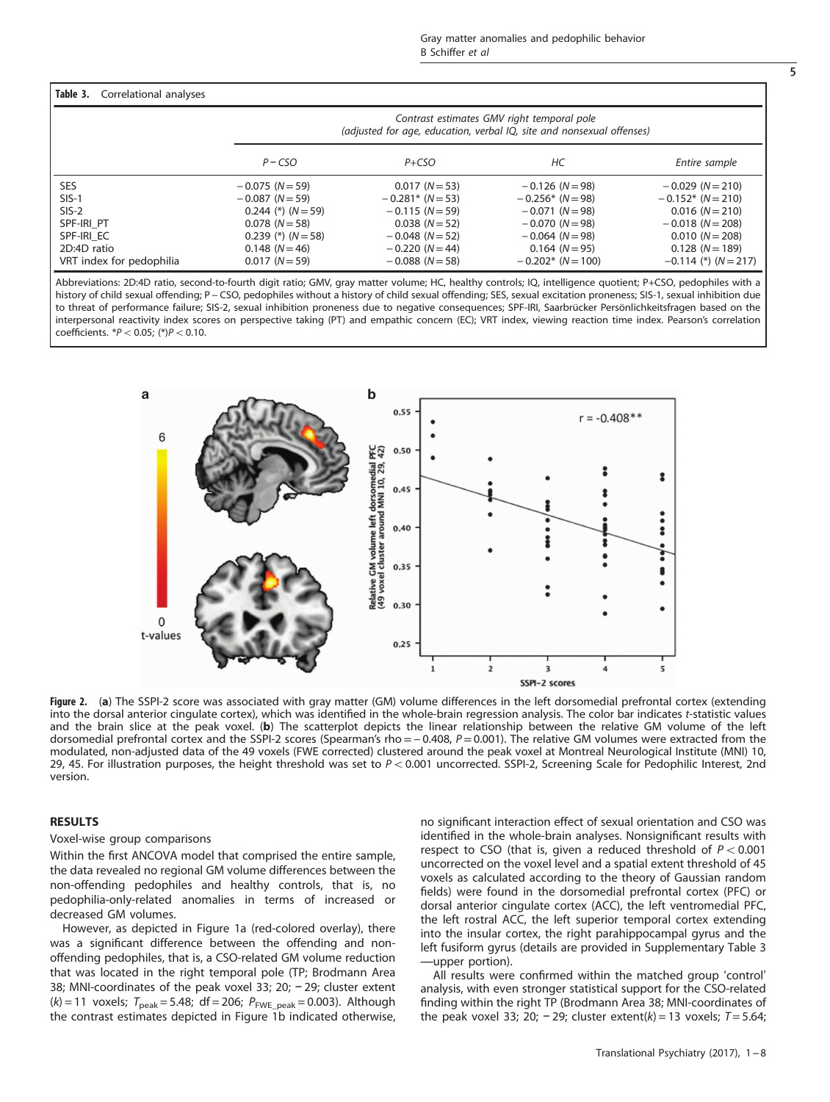# <span id="page-4-0"></span>Table 3. Correlational analyses

|                          |                      | Contrast estimates GMV right temporal pole<br>(adjusted for age, education, verbal IQ, site and nonsexual offenses) |                      |                        |  |  |  |  |
|--------------------------|----------------------|---------------------------------------------------------------------------------------------------------------------|----------------------|------------------------|--|--|--|--|
|                          | $P - CSO$            | $P + CSO$                                                                                                           | НC                   | Entire sample          |  |  |  |  |
| SES.                     | $-0.075$ (N $=$ 59)  | $0.017 (N = 53)$                                                                                                    | $-0.126$ (N $=$ 98)  | $-0.029$ (N $= 210$ )  |  |  |  |  |
| $SIS-1$                  | $-0.087$ (N $=$ 59)  | $-0.281$ * (N = 53)                                                                                                 | $-0.256*$ (N = 98)   | $-0.152$ * (N = 210)   |  |  |  |  |
| $SIS-2$                  | $0.244$ (*) $(N=59)$ | $-0.115 (N=59)$                                                                                                     | $-0.071$ (N $=$ 98)  | $0.016 (N = 210)$      |  |  |  |  |
| SPF-IRI PT               | $0.078$ ( $N = 58$ ) | $0.038 (N = 52)$                                                                                                    | $-0.070$ (N $=$ 98)  | $-0.018$ (N = 208)     |  |  |  |  |
| SPF-IRI EC               | $0.239$ (*) $(N=58)$ | $-0.048$ (N = 52)                                                                                                   | $-0.064$ (N $=$ 98)  | $0.010(N = 208)$       |  |  |  |  |
| 2D:4D ratio              | $0.148(N=46)$        | $-0.220$ (N = 44)                                                                                                   | $0.164$ (N = 95)     | $0.128 (N = 189)$      |  |  |  |  |
| VRT index for pedophilia | $0.017 (N = 59)$     | $-0.088$ (N = 58)                                                                                                   | $-0.202$ * (N = 100) | $-0.114$ (*) $(N=217)$ |  |  |  |  |

Abbreviations: 2D:4D ratio, second-to-fourth digit ratio; GMV, gray matter volume; HC, healthy controls; IQ, intelligence quotient; P+CSO, pedophiles with a history of child sexual offending; P-CSO, pedophiles without a history of child sexual offending; SES, sexual excitation proneness; SIS-1, sexual inhibition due to threat of performance failure; SIS-2, sexual inhibition proneness due to negative consequences; SPF-IRI, Saarbrücker Persönlichkeitsfragen based on the interpersonal reactivity index scores on perspective taking (PT) and empathic concern (EC); VRT index, viewing reaction time index. Pearson's correlation coefficients.  $*P < 0.05$ ; (\*) $P < 0.10$ .



Figure 2. (a) The SSPI-2 score was associated with gray matter (GM) volume differences in the left dorsomedial prefrontal cortex (extending into the dorsal anterior cingulate cortex), which was identified in the whole-brain regression analysis. The color bar indicates t-statistic values and the brain slice at the peak voxel. (b) The scatterplot depicts the linear relationship between the relative GM volume of the left dorsomedial prefrontal cortex and the SSPI-2 scores (Spearman's rho = −0.408, P = 0.001). The relative GM volumes were extracted from the modulated, non-adjusted data of the 49 voxels (FWE corrected) clustered around the peak voxel at Montreal Neurological Institute (MNI) 10, 29, 45. For illustration purposes, the height threshold was set to  $P < 0.001$  uncorrected. SSPI-2, Screening Scale for Pedophilic Interest, 2nd version.

# RESULTS

#### Voxel-wise group comparisons

Within the first ANCOVA model that comprised the entire sample, the data revealed no regional GM volume differences between the non-offending pedophiles and healthy controls, that is, no pedophilia-only-related anomalies in terms of increased or decreased GM volumes.

However, as depicted in [Figure 1a](#page-3-0) (red-colored overlay), there was a significant difference between the offending and nonoffending pedophiles, that is, a CSO-related GM volume reduction that was located in the right temporal pole (TP; Brodmann Area 38; MNI-coordinates of the peak voxel 33; 20; − 29; cluster extent  $(k) = 11$  voxels;  $T_{\text{peak}} = 5.48$ ; df = 206;  $P_{\text{FWE\_peak}} = 0.003$ ). Although the contrast estimates depicted in [Figure 1b](#page-3-0) indicated otherwise, no significant interaction effect of sexual orientation and CSO was identified in the whole-brain analyses. Nonsignificant results with respect to CSO (that is, given a reduced threshold of  $P < 0.001$ uncorrected on the voxel level and a spatial extent threshold of 45 voxels as calculated according to the theory of Gaussian random fields) were found in the dorsomedial prefrontal cortex (PFC) or dorsal anterior cingulate cortex (ACC), the left ventromedial PFC, the left rostral ACC, the left superior temporal cortex extending into the insular cortex, the right parahippocampal gyrus and the left fusiform gyrus (details are provided in Supplementary Table 3 —upper portion).

All results were confirmed within the matched group 'control' analysis, with even stronger statistical support for the CSO-related finding within the right TP (Brodmann Area 38; MNI-coordinates of the peak voxel 33; 20; - 29; cluster extent(k) = 13 voxels;  $T = 5.64$ ;

5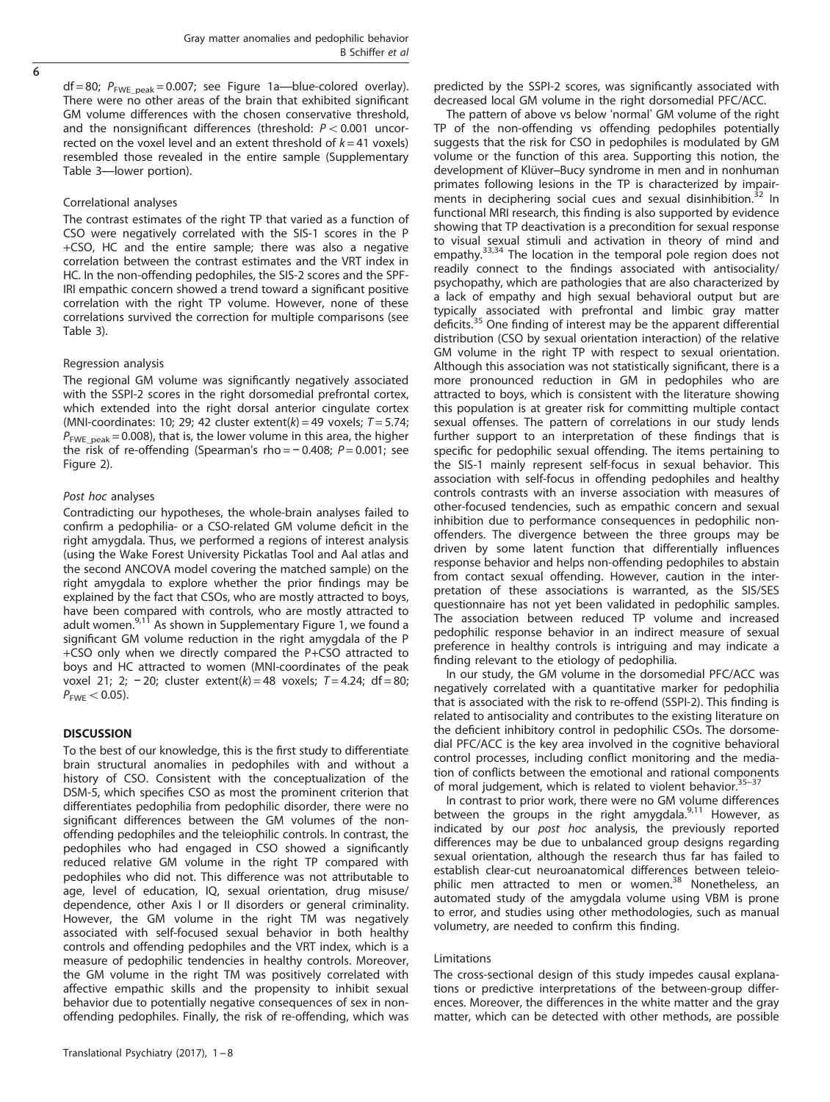$\overline{6}$ 

 $df = 80$ ;  $P_{FWE-peak} = 0.007$ ; see [Figure 1a](#page-3-0)—blue-colored overlay). There were no other areas of the brain that exhibited significant GM volume differences with the chosen conservative threshold, and the nonsignificant differences (threshold:  $P < 0.001$  uncorrected on the voxel level and an extent threshold of  $k = 41$  voxels) resembled those revealed in the entire sample (Supplementary Table 3—lower portion).

## Correlational analyses

The contrast estimates of the right TP that varied as a function of CSO were negatively correlated with the SIS-1 scores in the P +CSO, HC and the entire sample; there was also a negative correlation between the contrast estimates and the VRT index in HC. In the non-offending pedophiles, the SIS-2 scores and the SPF-IRI empathic concern showed a trend toward a significant positive correlation with the right TP volume. However, none of these correlations survived the correction for multiple comparisons (see [Table 3](#page-4-0)).

# Regression analysis

The regional GM volume was significantly negatively associated with the SSPI-2 scores in the right dorsomedial prefrontal cortex, which extended into the right dorsal anterior cingulate cortex (MNI-coordinates: 10; 29; 42 cluster extent(k) = 49 voxels;  $T = 5.74$ ;  $P_{\text{FWE-peak}} = 0.008$ , that is, the lower volume in this area, the higher the risk of re-offending (Spearman's rho =  $-0.408$ ;  $P = 0.001$ ; see [Figure 2](#page-4-0)).

# Post hoc analyses

Contradicting our hypotheses, the whole-brain analyses failed to confirm a pedophilia- or a CSO-related GM volume deficit in the right amygdala. Thus, we performed a regions of interest analysis (using the Wake Forest University Pickatlas Tool and Aal atlas and the second ANCOVA model covering the matched sample) on the right amygdala to explore whether the prior findings may be explained by the fact that CSOs, who are mostly attracted to boys, have been compared with controls, who are mostly attracted to<br>adult women.<sup>[9,11](#page-6-0)</sup> As shown in Supplementary Figure 1, we found a significant GM volume reduction in the right amygdala of the P +CSO only when we directly compared the P+CSO attracted to boys and HC attracted to women (MNI-coordinates of the peak voxel 21; 2; -20; cluster extent(k) = 48 voxels;  $T = 4.24$ ; df = 80;  $P_{\text{FWE}}$  < 0.05).

# **DISCUSSION**

To the best of our knowledge, this is the first study to differentiate brain structural anomalies in pedophiles with and without a history of CSO. Consistent with the conceptualization of the DSM-5, which specifies CSO as most the prominent criterion that differentiates pedophilia from pedophilic disorder, there were no significant differences between the GM volumes of the nonoffending pedophiles and the teleiophilic controls. In contrast, the pedophiles who had engaged in CSO showed a significantly reduced relative GM volume in the right TP compared with pedophiles who did not. This difference was not attributable to age, level of education, IQ, sexual orientation, drug misuse/ dependence, other Axis I or II disorders or general criminality. However, the GM volume in the right TM was negatively associated with self-focused sexual behavior in both healthy controls and offending pedophiles and the VRT index, which is a measure of pedophilic tendencies in healthy controls. Moreover, the GM volume in the right TM was positively correlated with affective empathic skills and the propensity to inhibit sexual behavior due to potentially negative consequences of sex in nonoffending pedophiles. Finally, the risk of re-offending, which was predicted by the SSPI-2 scores, was significantly associated with decreased local GM volume in the right dorsomedial PFC/ACC.

The pattern of above vs below 'normal' GM volume of the right TP of the non-offending vs offending pedophiles potentially suggests that the risk for CSO in pedophiles is modulated by GM volume or the function of this area. Supporting this notion, the development of Klüver–Bucy syndrome in men and in nonhuman primates following lesions in the TP is characterized by impair-ments in deciphering social cues and sexual disinhibition.<sup>[32](#page-7-0)</sup> In functional MRI research, this finding is also supported by evidence showing that TP deactivation is a precondition for sexual response to visual sexual stimuli and activation in theory of mind and empathy.<sup>[33](#page-7-0),[34](#page-7-0)</sup> The location in the temporal pole region does not readily connect to the findings associated with antisociality/ psychopathy, which are pathologies that are also characterized by a lack of empathy and high sexual behavioral output but are typically associated with prefrontal and limbic gray matter deficits.[35](#page-7-0) One finding of interest may be the apparent differential distribution (CSO by sexual orientation interaction) of the relative GM volume in the right TP with respect to sexual orientation. Although this association was not statistically significant, there is a more pronounced reduction in GM in pedophiles who are attracted to boys, which is consistent with the literature showing this population is at greater risk for committing multiple contact sexual offenses. The pattern of correlations in our study lends further support to an interpretation of these findings that is specific for pedophilic sexual offending. The items pertaining to the SIS-1 mainly represent self-focus in sexual behavior. This association with self-focus in offending pedophiles and healthy controls contrasts with an inverse association with measures of other-focused tendencies, such as empathic concern and sexual inhibition due to performance consequences in pedophilic nonoffenders. The divergence between the three groups may be driven by some latent function that differentially influences response behavior and helps non-offending pedophiles to abstain from contact sexual offending. However, caution in the interpretation of these associations is warranted, as the SIS/SES questionnaire has not yet been validated in pedophilic samples. The association between reduced TP volume and increased pedophilic response behavior in an indirect measure of sexual preference in healthy controls is intriguing and may indicate a finding relevant to the etiology of pedophilia.

In our study, the GM volume in the dorsomedial PFC/ACC was negatively correlated with a quantitative marker for pedophilia that is associated with the risk to re-offend (SSPI-2). This finding is related to antisociality and contributes to the existing literature on the deficient inhibitory control in pedophilic CSOs. The dorsomedial PFC/ACC is the key area involved in the cognitive behavioral control processes, including conflict monitoring and the mediation of conflicts between the emotional and rational components of moral judgement, which is related to violent behavior. $35-37$  $35-37$ 

In contrast to prior work, there were no GM volume differences between the groups in the right amygdala.<sup>[9,11](#page-6-0)</sup> However, as indicated by our post hoc analysis, the previously reported differences may be due to unbalanced group designs regarding sexual orientation, although the research thus far has failed to establish clear-cut neuroanatomical differences between teleio-philic men attracted to men or women.<sup>[38](#page-7-0)</sup> Nonetheless, an automated study of the amygdala volume using VBM is prone to error, and studies using other methodologies, such as manual volumetry, are needed to confirm this finding.

### Limitations

The cross-sectional design of this study impedes causal explanations or predictive interpretations of the between-group differences. Moreover, the differences in the white matter and the gray matter, which can be detected with other methods, are possible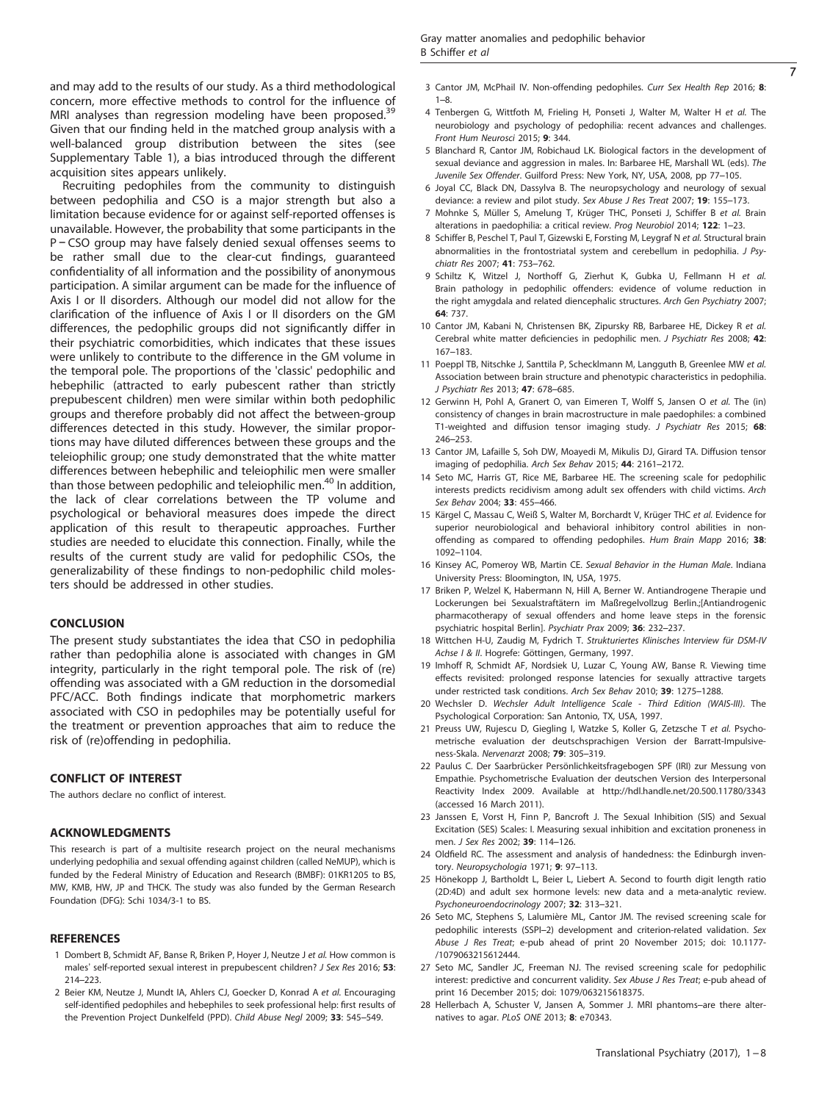<span id="page-6-0"></span>and may add to the results of our study. As a third methodological concern, more effective methods to control for the influence of MRI analyses than regression modeling have been proposed.<sup>[39](#page-7-0)</sup> Given that our finding held in the matched group analysis with a well-balanced group distribution between the sites (see Supplementary Table 1), a bias introduced through the different acquisition sites appears unlikely.

Recruiting pedophiles from the community to distinguish between pedophilia and CSO is a major strength but also a limitation because evidence for or against self-reported offenses is unavailable. However, the probability that some participants in the P − CSO group may have falsely denied sexual offenses seems to be rather small due to the clear-cut findings, guaranteed confidentiality of all information and the possibility of anonymous participation. A similar argument can be made for the influence of Axis I or II disorders. Although our model did not allow for the clarification of the influence of Axis I or II disorders on the GM differences, the pedophilic groups did not significantly differ in their psychiatric comorbidities, which indicates that these issues were unlikely to contribute to the difference in the GM volume in the temporal pole. The proportions of the 'classic' pedophilic and hebephilic (attracted to early pubescent rather than strictly prepubescent children) men were similar within both pedophilic groups and therefore probably did not affect the between-group differences detected in this study. However, the similar proportions may have diluted differences between these groups and the teleiophilic group; one study demonstrated that the white matter differences between hebephilic and teleiophilic men were smaller than those between pedophilic and teleiophilic men.<sup>[40](#page-7-0)</sup> In addition, the lack of clear correlations between the TP volume and psychological or behavioral measures does impede the direct application of this result to therapeutic approaches. Further studies are needed to elucidate this connection. Finally, while the results of the current study are valid for pedophilic CSOs, the generalizability of these findings to non-pedophilic child molesters should be addressed in other studies.

#### **CONCLUSION**

The present study substantiates the idea that CSO in pedophilia rather than pedophilia alone is associated with changes in GM integrity, particularly in the right temporal pole. The risk of (re) offending was associated with a GM reduction in the dorsomedial PFC/ACC. Both findings indicate that morphometric markers associated with CSO in pedophiles may be potentially useful for the treatment or prevention approaches that aim to reduce the risk of (re)offending in pedophilia.

#### CONFLICT OF INTEREST

The authors declare no conflict of interest.

#### ACKNOWLEDGMENTS

This research is part of a multisite research project on the neural mechanisms underlying pedophilia and sexual offending against children (called NeMUP), which is funded by the Federal Ministry of Education and Research (BMBF): 01KR1205 to BS, MW, KMB, HW, JP and THCK. The study was also funded by the German Research Foundation (DFG): Schi 1034/3-1 to BS.

#### **REFERENCES**

- 1 Dombert B, Schmidt AF, Banse R, Briken P, Hoyer J, Neutze J et al. How common is males' self-reported sexual interest in prepubescent children? J Sex Res 2016; 53: 214–223.
- 2 Beier KM, Neutze J, Mundt IA, Ahlers CJ, Goecker D, Konrad A et al. Encouraging self-identified pedophiles and hebephiles to seek professional help: first results of the Prevention Project Dunkelfeld (PPD). Child Abuse Negl 2009; 33: 545–549.
- 3 Cantor JM, McPhail IV. Non-offending pedophiles. Curr Sex Health Rep 2016; 8: 1–8.
- 4 Tenbergen G, Wittfoth M, Frieling H, Ponseti J, Walter M, Walter H et al. The neurobiology and psychology of pedophilia: recent advances and challenges. Front Hum Neurosci 2015; 9: 344.
- 5 Blanchard R, Cantor JM, Robichaud LK. Biological factors in the development of sexual deviance and aggression in males. In: Barbaree HE, Marshall WL (eds). The Juvenile Sex Offender. Guilford Press: New York, NY, USA, 2008, pp 77–105.
- 6 Joyal CC, Black DN, Dassylva B. The neuropsychology and neurology of sexual deviance: a review and pilot study. Sex Abuse J Res Treat 2007; 19: 155-173.
- 7 Mohnke S, Müller S, Amelung T, Krüger THC, Ponseti J, Schiffer B et al. Brain alterations in paedophilia: a critical review. Prog Neurobiol 2014; 122: 1–23.
- 8 Schiffer B, Peschel T, Paul T, Gizewski E, Forsting M, Leygraf N et al. Structural brain abnormalities in the frontostriatal system and cerebellum in pedophilia. *I Psy*chiatr Res 2007; 41: 753–762.
- 9 Schiltz K, Witzel J, Northoff G, Zierhut K, Gubka U, Fellmann H et al. Brain pathology in pedophilic offenders: evidence of volume reduction in the right amygdala and related diencephalic structures. Arch Gen Psychiatry 2007; 64: 737.
- 10 Cantor JM, Kabani N, Christensen BK, Zipursky RB, Barbaree HE, Dickey R et al. Cerebral white matter deficiencies in pedophilic men. J Psychiatr Res 2008; 42: 167–183.
- 11 Poeppl TB, Nitschke J, Santtila P, Schecklmann M, Langguth B, Greenlee MW et al. Association between brain structure and phenotypic characteristics in pedophilia. J Psychiatr Res 2013; 47: 678–685.
- 12 Gerwinn H, Pohl A, Granert O, van Eimeren T, Wolff S, Jansen O et al. The (in) consistency of changes in brain macrostructure in male paedophiles: a combined T1-weighted and diffusion tensor imaging study. J Psychiatr Res 2015; 68: 246–253.
- 13 Cantor JM, Lafaille S, Soh DW, Moayedi M, Mikulis DJ, Girard TA. Diffusion tensor imaging of pedophilia. Arch Sex Behav 2015; 44: 2161–2172.
- 14 Seto MC, Harris GT, Rice ME, Barbaree HE. The screening scale for pedophilic interests predicts recidivism among adult sex offenders with child victims. Arch Sex Behav 2004; 33: 455–466.
- 15 Kärgel C, Massau C, Weiß S, Walter M, Borchardt V, Krüger THC et al. Evidence for superior neurobiological and behavioral inhibitory control abilities in nonoffending as compared to offending pedophiles. Hum Brain Mapp 2016; 38: 1092–1104.
- 16 Kinsey AC, Pomeroy WB, Martin CE. Sexual Behavior in the Human Male. Indiana University Press: Bloomington, IN, USA, 1975.
- 17 Briken P, Welzel K, Habermann N, Hill A, Berner W. Antiandrogene Therapie und Lockerungen bei Sexualstraftätern im Maßregelvollzug Berlin.;[Antiandrogenic pharmacotherapy of sexual offenders and home leave steps in the forensic psychiatric hospital Berlin]. Psychiatr Prax 2009; 36: 232–237.
- 18 Wittchen H-U, Zaudig M, Fydrich T. Strukturiertes Klinisches Interview für DSM-IV Achse I & II. Hogrefe: Göttingen, Germany, 1997.
- 19 Imhoff R, Schmidt AF, Nordsiek U, Luzar C, Young AW, Banse R. Viewing time effects revisited: prolonged response latencies for sexually attractive targets under restricted task conditions. Arch Sex Behav 2010; 39: 1275–1288.
- 20 Wechsler D. Wechsler Adult Intelligence Scale Third Edition (WAIS-III). The Psychological Corporation: San Antonio, TX, USA, 1997.
- 21 Preuss UW, Rujescu D, Giegling I, Watzke S, Koller G, Zetzsche T et al. Psychometrische evaluation der deutschsprachigen Version der Barratt-Impulsiveness-Skala. Nervenarzt 2008; 79: 305–319.
- 22 Paulus C. Der Saarbrücker Persönlichkeitsfragebogen SPF (IRI) zur Messung von Empathie. Psychometrische Evaluation der deutschen Version des Interpersonal Reactivity Index 2009. Available at<http://hdl.handle.net/20.500.11780/3343> (accessed 16 March 2011).
- 23 Janssen E, Vorst H, Finn P, Bancroft J. The Sexual Inhibition (SIS) and Sexual Excitation (SES) Scales: I. Measuring sexual inhibition and excitation proneness in men. J Sex Res 2002: 39: 114-126.
- 24 Oldfield RC. The assessment and analysis of handedness: the Edinburgh inventory. Neuropsychologia 1971; 9: 97–113.
- 25 Hönekopp J, Bartholdt L, Beier L, Liebert A. Second to fourth digit length ratio (2D:4D) and adult sex hormone levels: new data and a meta-analytic review. Psychoneuroendocrinology 2007; 32: 313–321.
- 26 Seto MC, Stephens S, Lalumière ML, Cantor JM. The revised screening scale for pedophilic interests (SSPI–2) development and criterion-related validation. Sex Abuse J Res Treat; e-pub ahead of print 20 November 2015; doi: 10.1177- /1079063215612444.
- 27 Seto MC, Sandler JC, Freeman NJ. The revised screening scale for pedophilic interest: predictive and concurrent validity. Sex Abuse J Res Treat; e-pub ahead of print 16 December 2015; doi: 1079/063215618375.
- 28 Hellerbach A, Schuster V, Jansen A, Sommer J. MRI phantoms–are there alternatives to agar. PLoS ONE 2013; 8: e70343.